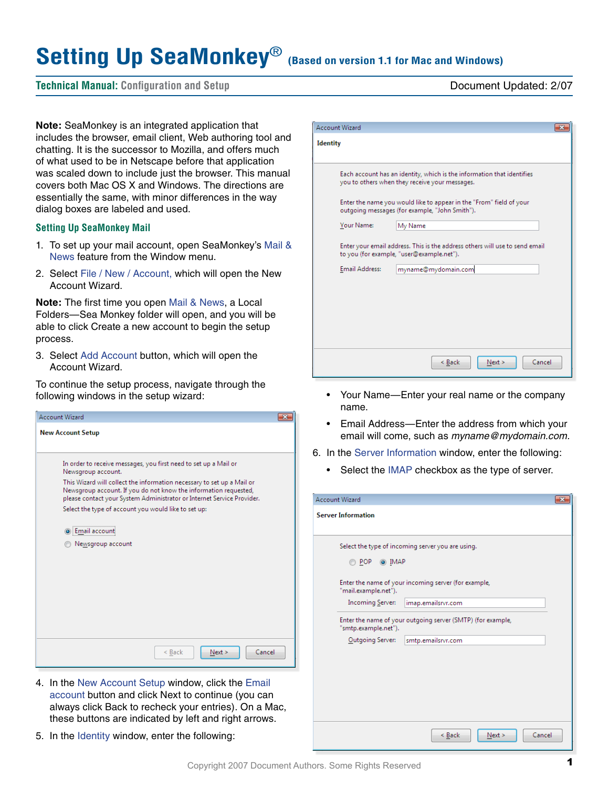# Setting Up SeaMonkey<sup>®</sup> (Based on version 1.1 for Mac and Windows)

# **Technical Manual: Configuration and Setup** Document Updated: 2/07

**Note:** SeaMonkey is an integrated application that includes the browser, email client, Web authoring tool and chatting. It is the successor to Mozilla, and offers much of what used to be in Netscape before that application was scaled down to include just the browser. This manual covers both Mac OS X and Windows. The directions are essentially the same, with minor differences in the way dialog boxes are labeled and used.

### **Setting Up SeaMonkey Mail**

- 1. To set up your mail account, open SeaMonkey's Mail & News feature from the Window menu.
- 2. Select File / New / Account, which will open the New Account Wizard.

**Note:** The first time you open Mail & News, a Local Folders—Sea Monkey folder will open, and you will be able to click Create a new account to begin the setup process.

3. Select Add Account button, which will open the Account Wizard.

To continue the setup process, navigate through the following windows in the setup wizard:

| <b>Account Wizard</b>                                                                                                                                                                                                |  |
|----------------------------------------------------------------------------------------------------------------------------------------------------------------------------------------------------------------------|--|
| <b>New Account Setup</b>                                                                                                                                                                                             |  |
| In order to receive messages, you first need to set up a Mail or<br>Newsgroup account.                                                                                                                               |  |
| This Wizard will collect the information necessary to set up a Mail or<br>Newsgroup account. If you do not know the information requested,<br>please contact your System Administrator or Internet Service Provider. |  |
| Select the type of account you would like to set up:                                                                                                                                                                 |  |
| Email account                                                                                                                                                                                                        |  |
| Newsgroup account                                                                                                                                                                                                    |  |
|                                                                                                                                                                                                                      |  |
|                                                                                                                                                                                                                      |  |
|                                                                                                                                                                                                                      |  |
|                                                                                                                                                                                                                      |  |
|                                                                                                                                                                                                                      |  |
| Cancel<br>< Back<br>Next                                                                                                                                                                                             |  |

- 4. In the New Account Setup window, click the Email account button and click Next to continue (you can always click Back to recheck your entries). On a Mac, these buttons are indicated by left and right arrows.
- 5. In the Identity window, enter the following:

|                 | <b>Account Wizard</b> |                                                                                                                          |  |
|-----------------|-----------------------|--------------------------------------------------------------------------------------------------------------------------|--|
| <b>Identity</b> |                       |                                                                                                                          |  |
|                 |                       | Each account has an identity, which is the information that identifies<br>you to others when they receive your messages. |  |
|                 |                       | Enter the name you would like to appear in the "From" field of your<br>outgoing messages (for example, "John Smith").    |  |
|                 | Your Name:            | My Name                                                                                                                  |  |
|                 |                       | Enter your email address. This is the address others will use to send email<br>to you (for example, "user@example.net"). |  |
|                 | Email Address:        | myname@mydomain.com                                                                                                      |  |
|                 |                       |                                                                                                                          |  |
|                 |                       | Cancel<br>< Back<br>Next >                                                                                               |  |
|                 |                       |                                                                                                                          |  |

- Your Name—Enter your real name or the company name.
- Email Address—Enter the address from which your email will come, such as *myname@mydomain.com.*
- 6. In the Server Information window, enter the following:
	- Select the IMAP checkbox as the type of server.

| <b>Account Wizard</b>                           |                                                                            |
|-------------------------------------------------|----------------------------------------------------------------------------|
| <b>Server Information</b>                       |                                                                            |
| $\odot$ POP<br>O IMAP                           | Select the type of incoming server you are using.                          |
| "mail.example.net").<br><b>Incoming Server:</b> | Enter the name of your incoming server (for example,<br>imap.emailsrvr.com |
| "smtp.example.net").                            | Enter the name of your outgoing server (SMTP) (for example,                |
| <b>Qutgoing Server:</b>                         | smtp.emailsrvr.com                                                         |
|                                                 |                                                                            |
|                                                 | Cancel<br>< Back<br>Next                                                   |